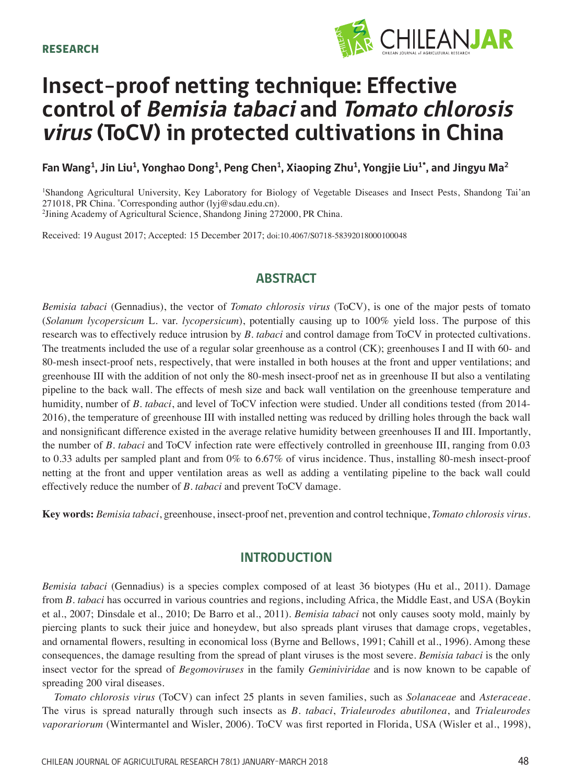

# **Insect-proof netting technique: Effective control of Bemisia tabaci and Tomato chlorosis virus (ToCV) in protected cultivations in China**

Fan Wang<sup>1</sup>, Jin Liu<sup>1</sup>, Yonghao Dong<sup>1</sup>, Peng Chen<sup>1</sup>, Xiaoping Zhu<sup>1</sup>, Yongjie Liu<sup>1\*</sup>, and Jingyu Ma<sup>2</sup>

1 Shandong Agricultural University, Key Laboratory for Biology of Vegetable Diseases and Insect Pests, Shandong Tai'an 271018, PR China. \* Corresponding author (lyj@sdau.edu.cn). 2 Jining Academy of Agricultural Science, Shandong Jining 272000, PR China.

Received: 19 August 2017; Accepted: 15 December 2017; doi:10.4067/S0718-58392018000100048

# **ABSTRACT**

*Bemisia tabaci* (Gennadius), the vector of *Tomato chlorosis virus* (ToCV), is one of the major pests of tomato (*Solanum lycopersicum* L. var. *lycopersicum*), potentially causing up to 100% yield loss. The purpose of this research was to effectively reduce intrusion by *B. tabaci* and control damage from ToCV in protected cultivations. The treatments included the use of a regular solar greenhouse as a control (CK); greenhouses I and II with 60- and 80-mesh insect-proof nets, respectively, that were installed in both houses at the front and upper ventilations; and greenhouse III with the addition of not only the 80-mesh insect-proof net as in greenhouse II but also a ventilating pipeline to the back wall. The effects of mesh size and back wall ventilation on the greenhouse temperature and humidity, number of *B. tabaci*, and level of ToCV infection were studied. Under all conditions tested (from 2014-2016), the temperature of greenhouse III with installed netting was reduced by drilling holes through the back wall and nonsignificant difference existed in the average relative humidity between greenhouses II and III. Importantly, the number of *B. tabaci* and ToCV infection rate were effectively controlled in greenhouse III, ranging from 0.03 to 0.33 adults per sampled plant and from 0% to 6.67% of virus incidence. Thus, installing 80-mesh insect-proof netting at the front and upper ventilation areas as well as adding a ventilating pipeline to the back wall could effectively reduce the number of *B. tabaci* and prevent ToCV damage.

**Key words:** *Bemisia tabaci*, greenhouse, insect-proof net, prevention and control technique, *Tomato chlorosis virus*.

# **INTRODUCTION**

*Bemisia tabaci* (Gennadius) is a species complex composed of at least 36 biotypes (Hu et al., 2011). Damage from *B. tabaci* has occurred in various countries and regions, including Africa, the Middle East, and USA (Boykin et al., 2007; Dinsdale et al., 2010; De Barro et al., 2011). *Bemisia tabaci* not only causes sooty mold, mainly by piercing plants to suck their juice and honeydew, but also spreads plant viruses that damage crops, vegetables, and ornamental flowers, resulting in economical loss (Byrne and Bellows, 1991; Cahill et al., 1996). Among these consequences, the damage resulting from the spread of plant viruses is the most severe. *Bemisia tabaci* is the only insect vector for the spread of *Begomoviruses* in the family *Geminiviridae* and is now known to be capable of spreading 200 viral diseases.

*Tomato chlorosis virus* (ToCV) can infect 25 plants in seven families, such as *Solanaceae* and *Asteraceae*. The virus is spread naturally through such insects as *B. tabaci*, *Trialeurodes abutilonea*, and *Trialeurodes vaporariorum* (Wintermantel and Wisler, 2006). ToCV was first reported in Florida, USA (Wisler et al., 1998),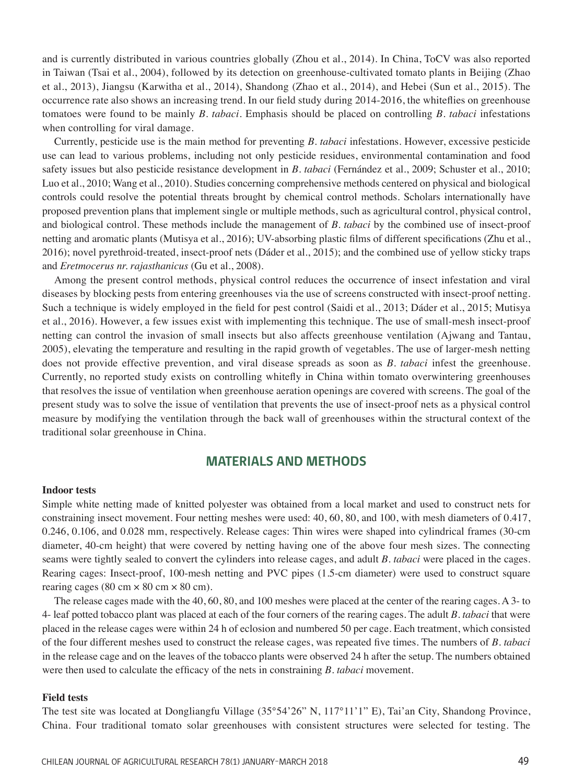and is currently distributed in various countries globally (Zhou et al., 2014). In China, ToCV was also reported in Taiwan (Tsai et al., 2004), followed by its detection on greenhouse-cultivated tomato plants in Beijing (Zhao et al., 2013), Jiangsu (Karwitha et al., 2014), Shandong (Zhao et al., 2014), and Hebei (Sun et al., 2015). The occurrence rate also shows an increasing trend. In our field study during 2014-2016, the whiteflies on greenhouse tomatoes were found to be mainly *B. tabaci*. Emphasis should be placed on controlling *B. tabaci* infestations when controlling for viral damage.

Currently, pesticide use is the main method for preventing *B. tabaci* infestations. However, excessive pesticide use can lead to various problems, including not only pesticide residues, environmental contamination and food safety issues but also pesticide resistance development in *B. tabaci* (Fernández et al., 2009; Schuster et al., 2010; Luo et al., 2010; Wang et al., 2010). Studies concerning comprehensive methods centered on physical and biological controls could resolve the potential threats brought by chemical control methods. Scholars internationally have proposed prevention plans that implement single or multiple methods, such as agricultural control, physical control, and biological control. These methods include the management of *B. tabaci* by the combined use of insect-proof netting and aromatic plants (Mutisya et al., 2016); UV-absorbing plastic films of different specifications (Zhu et al., 2016); novel pyrethroid-treated, insect-proof nets (Dáder et al., 2015); and the combined use of yellow sticky traps and *Eretmocerus nr. rajasthanicus* (Gu et al., 2008).

Among the present control methods, physical control reduces the occurrence of insect infestation and viral diseases by blocking pests from entering greenhouses via the use of screens constructed with insect-proof netting. Such a technique is widely employed in the field for pest control (Saidi et al., 2013; Dáder et al., 2015; Mutisya et al., 2016). However, a few issues exist with implementing this technique. The use of small-mesh insect-proof netting can control the invasion of small insects but also affects greenhouse ventilation (Ajwang and Tantau, 2005), elevating the temperature and resulting in the rapid growth of vegetables. The use of larger-mesh netting does not provide effective prevention, and viral disease spreads as soon as *B. tabaci* infest the greenhouse. Currently, no reported study exists on controlling whitefly in China within tomato overwintering greenhouses that resolves the issue of ventilation when greenhouse aeration openings are covered with screens. The goal of the present study was to solve the issue of ventilation that prevents the use of insect-proof nets as a physical control measure by modifying the ventilation through the back wall of greenhouses within the structural context of the traditional solar greenhouse in China.

# **MATERIALS AND METHODS**

## **Indoor tests**

Simple white netting made of knitted polyester was obtained from a local market and used to construct nets for constraining insect movement. Four netting meshes were used: 40, 60, 80, and 100, with mesh diameters of 0.417, 0.246, 0.106, and 0.028 mm, respectively. Release cages: Thin wires were shaped into cylindrical frames (30-cm diameter, 40-cm height) that were covered by netting having one of the above four mesh sizes. The connecting seams were tightly sealed to convert the cylinders into release cages, and adult *B. tabaci* were placed in the cages. Rearing cages: Insect-proof, 100-mesh netting and PVC pipes (1.5-cm diameter) were used to construct square rearing cages (80 cm  $\times$  80 cm  $\times$  80 cm).

The release cages made with the 40, 60, 80, and 100 meshes were placed at the center of the rearing cages. A 3- to 4- leaf potted tobacco plant was placed at each of the four corners of the rearing cages. The adult *B. tabaci* that were placed in the release cages were within 24 h of eclosion and numbered 50 per cage. Each treatment, which consisted of the four different meshes used to construct the release cages, was repeated five times. The numbers of *B. tabaci* in the release cage and on the leaves of the tobacco plants were observed 24 h after the setup. The numbers obtained were then used to calculate the efficacy of the nets in constraining *B. tabaci* movement.

#### **Field tests**

The test site was located at Dongliangfu Village (35°54'26" N, 117°11'1" E), Tai'an City, Shandong Province, China. Four traditional tomato solar greenhouses with consistent structures were selected for testing. The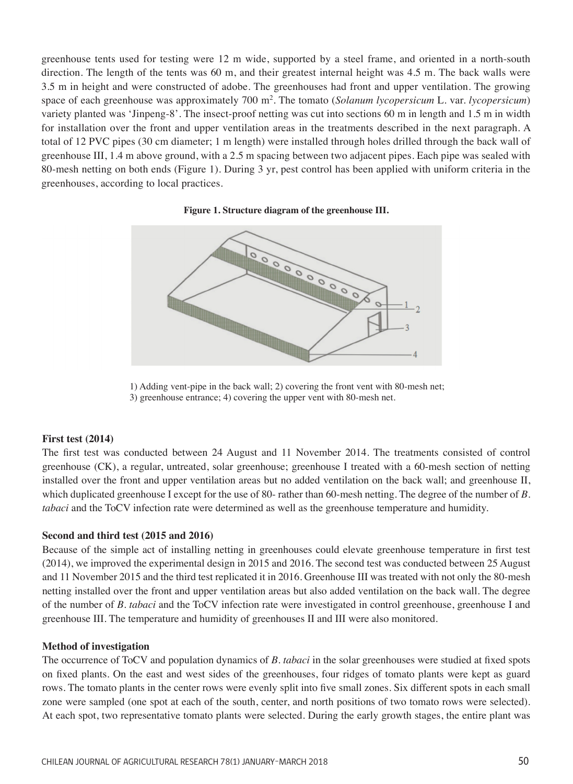greenhouse tents used for testing were 12 m wide, supported by a steel frame, and oriented in a north-south direction. The length of the tents was 60 m, and their greatest internal height was 4.5 m. The back walls were 3.5 m in height and were constructed of adobe. The greenhouses had front and upper ventilation. The growing space of each greenhouse was approximately 700 m2. The tomato (*Solanum lycopersicum* L. var. *lycopersicum*) variety planted was 'Jinpeng-8'. The insect-proof netting was cut into sections 60 m in length and 1.5 m in width for installation over the front and upper ventilation areas in the treatments described in the next paragraph. A total of 12 PVC pipes (30 cm diameter; 1 m length) were installed through holes drilled through the back wall of greenhouse III, 1.4 m above ground, with a 2.5 m spacing between two adjacent pipes. Each pipe was sealed with 80-mesh netting on both ends (Figure 1). During 3 yr, pest control has been applied with uniform criteria in the greenhouses, according to local practices.





1) Adding vent-pipe in the back wall; 2) covering the front vent with 80-mesh net; 3) greenhouse entrance; 4) covering the upper vent with 80-mesh net.

#### **First test (2014)**

The first test was conducted between 24 August and 11 November 2014. The treatments consisted of control greenhouse (CK), a regular, untreated, solar greenhouse; greenhouse I treated with a 60-mesh section of netting installed over the front and upper ventilation areas but no added ventilation on the back wall; and greenhouse II, which duplicated greenhouse I except for the use of 80- rather than 60-mesh netting. The degree of the number of *B. tabaci* and the ToCV infection rate were determined as well as the greenhouse temperature and humidity.

## **Second and third test (2015 and 2016)**

Because of the simple act of installing netting in greenhouses could elevate greenhouse temperature in first test (2014), we improved the experimental design in 2015 and 2016. The second test was conducted between 25 August and 11 November 2015 and the third test replicated it in 2016. Greenhouse III was treated with not only the 80-mesh netting installed over the front and upper ventilation areas but also added ventilation on the back wall. The degree of the number of *B. tabaci* and the ToCV infection rate were investigated in control greenhouse, greenhouse I and greenhouse III. The temperature and humidity of greenhouses II and III were also monitored.

## **Method of investigation**

The occurrence of ToCV and population dynamics of *B. tabaci* in the solar greenhouses were studied at fixed spots on fixed plants. On the east and west sides of the greenhouses, four ridges of tomato plants were kept as guard rows. The tomato plants in the center rows were evenly split into five small zones. Six different spots in each small zone were sampled (one spot at each of the south, center, and north positions of two tomato rows were selected). At each spot, two representative tomato plants were selected. During the early growth stages, the entire plant was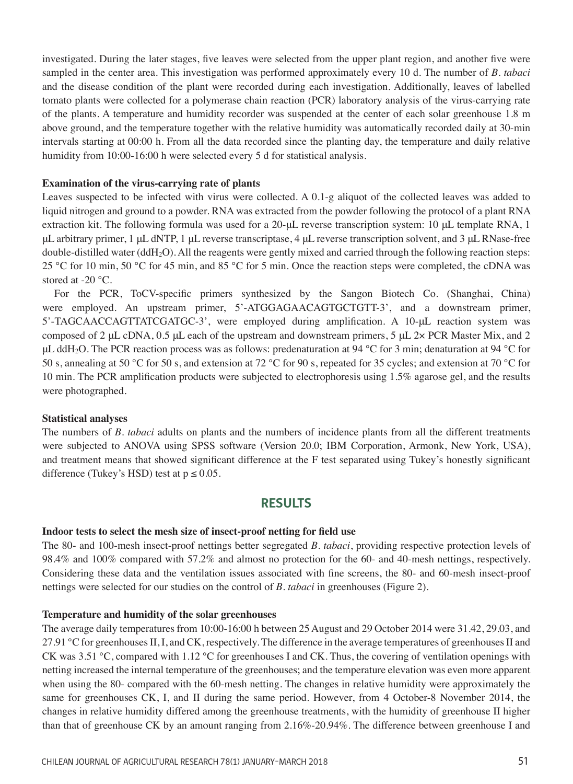investigated. During the later stages, five leaves were selected from the upper plant region, and another five were sampled in the center area. This investigation was performed approximately every 10 d. The number of *B. tabaci* and the disease condition of the plant were recorded during each investigation. Additionally, leaves of labelled tomato plants were collected for a polymerase chain reaction (PCR) laboratory analysis of the virus-carrying rate of the plants. A temperature and humidity recorder was suspended at the center of each solar greenhouse 1.8 m above ground, and the temperature together with the relative humidity was automatically recorded daily at 30-min intervals starting at 00:00 h. From all the data recorded since the planting day, the temperature and daily relative humidity from 10:00-16:00 h were selected every 5 d for statistical analysis.

## **Examination of the virus-carrying rate of plants**

Leaves suspected to be infected with virus were collected. A 0.1-g aliquot of the collected leaves was added to liquid nitrogen and ground to a powder. RNA was extracted from the powder following the protocol of a plant RNA extraction kit. The following formula was used for a 20-μL reverse transcription system: 10 μL template RNA, 1 μL arbitrary primer, 1 μL dNTP, 1 μL reverse transcriptase, 4 μL reverse transcription solvent, and 3 μL RNase-free double-distilled water (ddH2O). All the reagents were gently mixed and carried through the following reaction steps: 25 °C for 10 min, 50 °C for 45 min, and 85 °C for 5 min. Once the reaction steps were completed, the cDNA was stored at -20 °C.

For the PCR, ToCV-specific primers synthesized by the Sangon Biotech Co. (Shanghai, China) were employed. An upstream primer, 5'-ATGGAGAACAGTGCTGTT-3', and a downstream primer, 5'-TAGCAACCAGTTATCGATGC-3', were employed during amplification. A 10-µL reaction system was composed of 2 μL cDNA, 0.5 μL each of the upstream and downstream primers, 5 μL 2× PCR Master Mix, and 2 μL ddH<sub>2</sub>O. The PCR reaction process was as follows: predenaturation at 94 °C for 3 min; denaturation at 94 °C for 50 s, annealing at 50 °C for 50 s, and extension at 72 °C for 90 s, repeated for 35 cycles; and extension at 70 °C for 10 min. The PCR amplification products were subjected to electrophoresis using 1.5% agarose gel, and the results were photographed.

#### **Statistical analyses**

The numbers of *B. tabaci* adults on plants and the numbers of incidence plants from all the different treatments were subjected to ANOVA using SPSS software (Version 20.0; IBM Corporation, Armonk, New York, USA), and treatment means that showed significant difference at the F test separated using Tukey's honestly significant difference (Tukey's HSD) test at  $p \le 0.05$ .

## **RESULTS**

#### **Indoor tests to select the mesh size of insect-proof netting for field use**

The 80- and 100-mesh insect-proof nettings better segregated *B. tabaci*, providing respective protection levels of 98.4% and 100% compared with 57.2% and almost no protection for the 60- and 40-mesh nettings, respectively. Considering these data and the ventilation issues associated with fine screens, the 80- and 60-mesh insect-proof nettings were selected for our studies on the control of *B. tabaci* in greenhouses (Figure 2).

## **Temperature and humidity of the solar greenhouses**

The average daily temperatures from 10:00-16:00 h between 25 August and 29 October 2014 were 31.42, 29.03, and 27.91 °C for greenhouses II, I, and CK, respectively. The difference in the average temperatures of greenhouses II and CK was 3.51 °C, compared with 1.12 °C for greenhouses I and CK. Thus, the covering of ventilation openings with netting increased the internal temperature of the greenhouses; and the temperature elevation was even more apparent when using the 80- compared with the 60-mesh netting. The changes in relative humidity were approximately the same for greenhouses CK, I, and II during the same period. However, from 4 October-8 November 2014, the changes in relative humidity differed among the greenhouse treatments, with the humidity of greenhouse II higher than that of greenhouse CK by an amount ranging from 2.16%-20.94%. The difference between greenhouse I and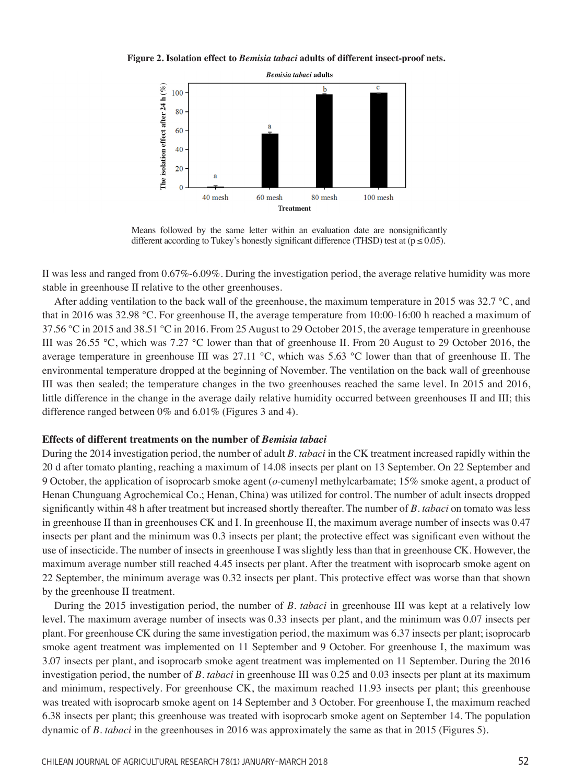#### **Figure 2. Isolation effect to** *Bemisia tabaci* **adults of different insect-proof nets.**



Means followed by the same letter within an evaluation date are nonsignificantly different according to Tukey's honestly significant difference (THSD) test at  $(p \le 0.05)$ .

II was less and ranged from 0.67%-6.09%. During the investigation period, the average relative humidity was more stable in greenhouse II relative to the other greenhouses.

After adding ventilation to the back wall of the greenhouse, the maximum temperature in 2015 was 32.7 °C, and that in 2016 was 32.98 °C. For greenhouse II, the average temperature from 10:00-16:00 h reached a maximum of 37.56 °C in 2015 and 38.51 °C in 2016. From 25 August to 29 October 2015, the average temperature in greenhouse III was 26.55 °C, which was 7.27 °C lower than that of greenhouse II. From 20 August to 29 October 2016, the average temperature in greenhouse III was 27.11 °C, which was 5.63 °C lower than that of greenhouse II. The environmental temperature dropped at the beginning of November. The ventilation on the back wall of greenhouse III was then sealed; the temperature changes in the two greenhouses reached the same level. In 2015 and 2016, little difference in the change in the average daily relative humidity occurred between greenhouses II and III; this difference ranged between 0% and 6.01% (Figures 3 and 4).

#### **Effects of different treatments on the number of** *Bemisia tabaci*

During the 2014 investigation period, the number of adult *B. tabaci* in the CK treatment increased rapidly within the 20 d after tomato planting, reaching a maximum of 14.08 insects per plant on 13 September. On 22 September and 9 October, the application of isoprocarb smoke agent (*o*-cumenyl methylcarbamate; 15% smoke agent, a product of Henan Chunguang Agrochemical Co.; Henan, China) was utilized for control. The number of adult insects dropped significantly within 48 h after treatment but increased shortly thereafter. The number of *B. tabaci* on tomato was less in greenhouse II than in greenhouses CK and I. In greenhouse II, the maximum average number of insects was 0.47 insects per plant and the minimum was 0.3 insects per plant; the protective effect was significant even without the use of insecticide. The number of insects in greenhouse I was slightly less than that in greenhouse CK. However, the maximum average number still reached 4.45 insects per plant. After the treatment with isoprocarb smoke agent on 22 September, the minimum average was 0.32 insects per plant. This protective effect was worse than that shown by the greenhouse II treatment.

During the 2015 investigation period, the number of *B. tabaci* in greenhouse III was kept at a relatively low level. The maximum average number of insects was 0.33 insects per plant, and the minimum was 0.07 insects per plant. For greenhouse CK during the same investigation period, the maximum was 6.37 insects per plant; isoprocarb smoke agent treatment was implemented on 11 September and 9 October. For greenhouse I, the maximum was 3.07 insects per plant, and isoprocarb smoke agent treatment was implemented on 11 September. During the 2016 investigation period, the number of *B. tabaci* in greenhouse III was 0.25 and 0.03 insects per plant at its maximum and minimum, respectively. For greenhouse CK, the maximum reached 11.93 insects per plant; this greenhouse was treated with isoprocarb smoke agent on 14 September and 3 October. For greenhouse I, the maximum reached 6.38 insects per plant; this greenhouse was treated with isoprocarb smoke agent on September 14. The population dynamic of *B. tabaci* in the greenhouses in 2016 was approximately the same as that in 2015 (Figures 5).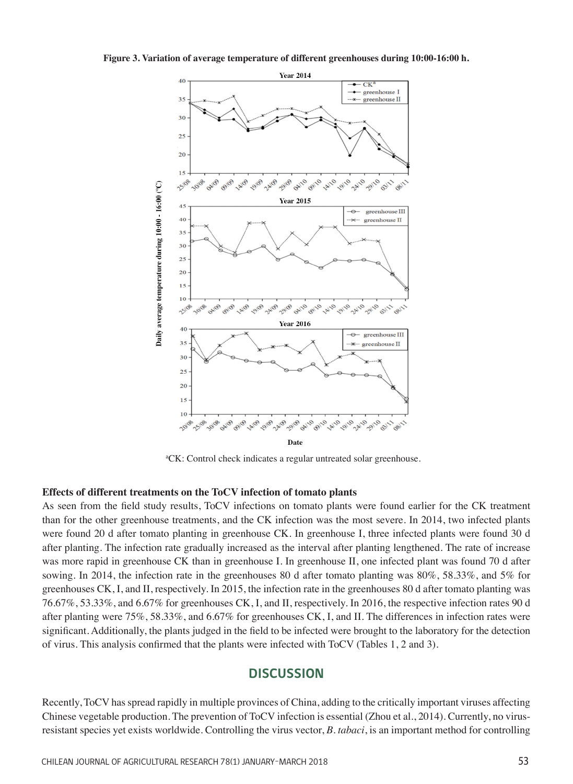**Figure 3. Variation of average temperature of different greenhouses during 10:00-16:00 h.**



a CK: Control check indicates a regular untreated solar greenhouse.

## **Effects of different treatments on the ToCV infection of tomato plants**

As seen from the field study results, ToCV infections on tomato plants were found earlier for the CK treatment than for the other greenhouse treatments, and the CK infection was the most severe. In 2014, two infected plants were found 20 d after tomato planting in greenhouse CK. In greenhouse I, three infected plants were found 30 d after planting. The infection rate gradually increased as the interval after planting lengthened. The rate of increase was more rapid in greenhouse CK than in greenhouse I. In greenhouse II, one infected plant was found 70 d after sowing. In 2014, the infection rate in the greenhouses 80 d after tomato planting was 80%, 58.33%, and 5% for greenhouses CK, I, and II, respectively. In 2015, the infection rate in the greenhouses 80 d after tomato planting was 76.67%, 53.33%, and 6.67% for greenhouses CK, I, and II, respectively. In 2016, the respective infection rates 90 d after planting were 75%, 58.33%, and 6.67% for greenhouses CK, I, and II. The differences in infection rates were significant. Additionally, the plants judged in the field to be infected were brought to the laboratory for the detection of virus. This analysis confirmed that the plants were infected with ToCV (Tables 1, 2 and 3).

## **DISCUSSION**

Recently, ToCV has spread rapidly in multiple provinces of China, adding to the critically important viruses affecting Chinese vegetable production. The prevention of ToCV infection is essential (Zhou et al., 2014). Currently, no virusresistant species yet exists worldwide. Controlling the virus vector, *B. tabaci*, is an important method for controlling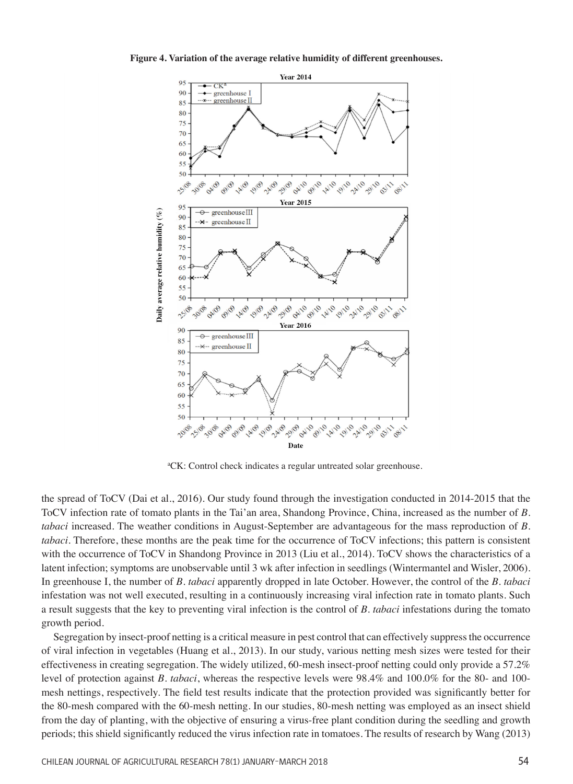#### **Figure 4. Variation of the average relative humidity of different greenhouses.**



a CK: Control check indicates a regular untreated solar greenhouse.

the spread of ToCV (Dai et al., 2016). Our study found through the investigation conducted in 2014-2015 that the ToCV infection rate of tomato plants in the Tai'an area, Shandong Province, China, increased as the number of *B. tabaci* increased. The weather conditions in August-September are advantageous for the mass reproduction of *B. tabaci*. Therefore, these months are the peak time for the occurrence of ToCV infections; this pattern is consistent with the occurrence of ToCV in Shandong Province in 2013 (Liu et al., 2014). ToCV shows the characteristics of a latent infection; symptoms are unobservable until 3 wk after infection in seedlings (Wintermantel and Wisler, 2006). In greenhouse I, the number of *B. tabaci* apparently dropped in late October. However, the control of the *B. tabaci* infestation was not well executed, resulting in a continuously increasing viral infection rate in tomato plants. Such a result suggests that the key to preventing viral infection is the control of *B. tabaci* infestations during the tomato growth period.

Segregation by insect-proof netting is a critical measure in pest control that can effectively suppress the occurrence of viral infection in vegetables (Huang et al., 2013). In our study, various netting mesh sizes were tested for their effectiveness in creating segregation. The widely utilized, 60-mesh insect-proof netting could only provide a 57.2% level of protection against *B. tabaci*, whereas the respective levels were 98.4% and 100.0% for the 80- and 100 mesh nettings, respectively. The field test results indicate that the protection provided was significantly better for the 80-mesh compared with the 60-mesh netting. In our studies, 80-mesh netting was employed as an insect shield from the day of planting, with the objective of ensuring a virus-free plant condition during the seedling and growth periods; this shield significantly reduced the virus infection rate in tomatoes. The results of research by Wang (2013)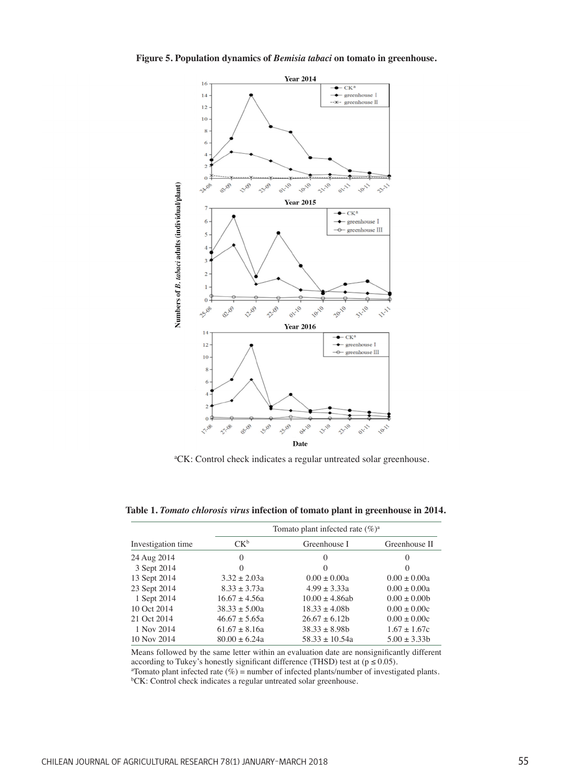**Figure 5. Population dynamics of** *Bemisia tabaci* **on tomato in greenhouse.**



a CK: Control check indicates a regular untreated solar greenhouse.

**Table 1.** *Tomato chlorosis virus* **infection of tomato plant in greenhouse in 2014.**

|                    |                   | Tomato plant infected rate $(\%)^a$ |                  |  |
|--------------------|-------------------|-------------------------------------|------------------|--|
| Investigation time | $CK^b$            | Greenhouse I                        | Greenhouse II    |  |
| 24 Aug 2014        | $\Omega$          | $\Omega$                            | 0                |  |
| 3 Sept 2014        | $\theta$          | $\Omega$                            | $\theta$         |  |
| 13 Sept 2014       | $3.32 \pm 2.03a$  | $0.00 \pm 0.00a$                    | $0.00 \pm 0.00a$ |  |
| 23 Sept 2014       | $8.33 \pm 3.73a$  | $4.99 + 3.33a$                      | $0.00 + 0.00a$   |  |
| 1 Sept 2014        | $16.67 \pm 4.56a$ | $10.00 \pm 4.86$ ab                 | $0.00 \pm 0.00$  |  |
| 10 Oct 2014        | $38.33 \pm 5.00a$ | $18.33 \pm 4.08b$                   | $0.00 \pm 0.00c$ |  |
| 21 Oct 2014        | $46.67 \pm 5.65a$ | $26.67 \pm 6.12b$                   | $0.00 \pm 0.00c$ |  |
| 1 Nov 2014         | $61.67 \pm 8.16a$ | $38.33 \pm 8.98b$                   | $1.67 \pm 1.67c$ |  |
| 10 Nov 2014        | $80.00 + 6.24a$   | $58.33 \pm 10.54a$                  | $5.00 \pm 3.33b$ |  |

Means followed by the same letter within an evaluation date are nonsignificantly different according to Tukey's honestly significant difference (THSD) test at ( $p \le 0.05$ ).

 $^{\alpha}$ Tomato plant infected rate (%) = number of infected plants/number of investigated plants. b CK: Control check indicates a regular untreated solar greenhouse.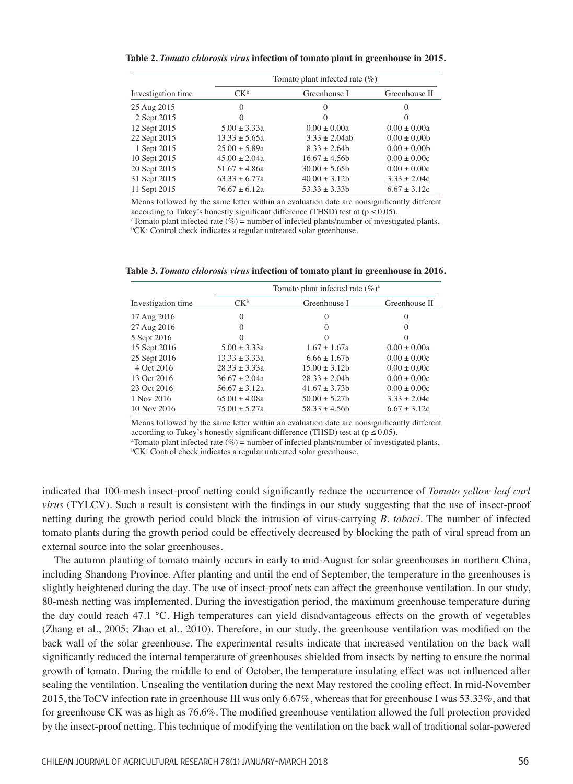**Table 2.** *Tomato chlorosis virus* **infection of tomato plant in greenhouse in 2015.**

|                    | Tomato plant infected rate $(\%)^a$ |                   |                  |  |
|--------------------|-------------------------------------|-------------------|------------------|--|
| Investigation time | $CK^b$                              | Greenhouse I      | Greenhouse II    |  |
| 25 Aug 2015        | $\Omega$                            | $\Omega$          | $\Omega$         |  |
| 2 Sept 2015        | 0                                   | $\Omega$          | $\Omega$         |  |
| 12 Sept 2015       | $5.00 \pm 3.33a$                    | $0.00 \pm 0.00a$  | $0.00 \pm 0.00a$ |  |
| 22 Sept 2015       | $13.33 \pm 5.65a$                   | $3.33 \pm 2.04ab$ | $0.00 \pm 0.00$  |  |
| 1 Sept 2015        | $25.00 \pm 5.89a$                   | $8.33 \pm 2.64b$  | $0.00 \pm 0.00$  |  |
| 10 Sept 2015       | $45.00 \pm 2.04a$                   | $16.67 + 4.56h$   | $0.00 \pm 0.00c$ |  |
| 20 Sept 2015       | $51.67 \pm 4.86a$                   | $30.00 \pm 5.65$  | $0.00 \pm 0.00c$ |  |
| 31 Sept 2015       | $63.33 \pm 6.77a$                   | $40.00 \pm 3.12b$ | $3.33 \pm 2.04c$ |  |
| 11 Sept 2015       | $76.67 \pm 6.12a$                   | $53.33 \pm 3.33b$ | $6.67 \pm 3.12c$ |  |

Means followed by the same letter within an evaluation date are nonsignificantly different according to Tukey's honestly significant difference (THSD) test at ( $p \le 0.05$ ).

a Tomato plant infected rate (%) = number of infected plants/number of investigated plants. b CK: Control check indicates a regular untreated solar greenhouse.

**Table 3.** *Tomato chlorosis virus* **infection of tomato plant in greenhouse in 2016.**

|                    | Tomato plant infected rate $(\%)^a$ |                   |                  |
|--------------------|-------------------------------------|-------------------|------------------|
| Investigation time | $CK^b$                              | Greenhouse I      | Greenhouse II    |
| 17 Aug 2016        | $\Omega$                            | $\Omega$          | $\Omega$         |
| 27 Aug 2016        | $\Omega$                            | $\Omega$          | $\Omega$         |
| 5 Sept 2016        | $\Omega$                            |                   |                  |
| 15 Sept 2016       | $5.00 \pm 3.33a$                    | $1.67 + 1.67a$    | $0.00 \pm 0.00a$ |
| 25 Sept 2016       | $13.33 \pm 3.33a$                   | $6.66 \pm 1.67$   | $0.00 \pm 0.00c$ |
| 4 Oct 2016         | $28.33 + 3.33a$                     | $15.00 + 3.12b$   | $0.00 + 0.00c$   |
| 13 Oct 2016        | $36.67 + 2.04a$                     | $28.33 + 2.04b$   | $0.00 + 0.00c$   |
| 23 Oct 2016        | $56.67 + 3.12a$                     | $41.67 \pm 3.73b$ | $0.00 \pm 0.00c$ |
| 1 Nov 2016         | $65.00 + 4.08a$                     | $50.00 + 5.27$    | $3.33 + 2.04c$   |
| 10 Nov 2016        | $75.00 + 5.27a$                     | $58.33 \pm 4.56b$ | $6.67 \pm 3.12c$ |

Means followed by the same letter within an evaluation date are nonsignificantly different according to Tukey's honestly significant difference (THSD) test at ( $p \le 0.05$ ).

a Tomato plant infected rate (%) = number of infected plants/number of investigated plants.

b CK: Control check indicates a regular untreated solar greenhouse.

indicated that 100-mesh insect-proof netting could significantly reduce the occurrence of *Tomato yellow leaf curl virus* (TYLCV). Such a result is consistent with the findings in our study suggesting that the use of insect-proof netting during the growth period could block the intrusion of virus-carrying *B. tabaci*. The number of infected tomato plants during the growth period could be effectively decreased by blocking the path of viral spread from an external source into the solar greenhouses.

The autumn planting of tomato mainly occurs in early to mid-August for solar greenhouses in northern China, including Shandong Province. After planting and until the end of September, the temperature in the greenhouses is slightly heightened during the day. The use of insect-proof nets can affect the greenhouse ventilation. In our study, 80-mesh netting was implemented. During the investigation period, the maximum greenhouse temperature during the day could reach 47.1 °C. High temperatures can yield disadvantageous effects on the growth of vegetables (Zhang et al., 2005; Zhao et al., 2010). Therefore, in our study, the greenhouse ventilation was modified on the back wall of the solar greenhouse. The experimental results indicate that increased ventilation on the back wall significantly reduced the internal temperature of greenhouses shielded from insects by netting to ensure the normal growth of tomato. During the middle to end of October, the temperature insulating effect was not influenced after sealing the ventilation. Unsealing the ventilation during the next May restored the cooling effect. In mid-November 2015, the ToCV infection rate in greenhouse III was only 6.67%, whereas that for greenhouse I was 53.33%, and that for greenhouse CK was as high as 76.6%. The modified greenhouse ventilation allowed the full protection provided by the insect-proof netting. This technique of modifying the ventilation on the back wall of traditional solar-powered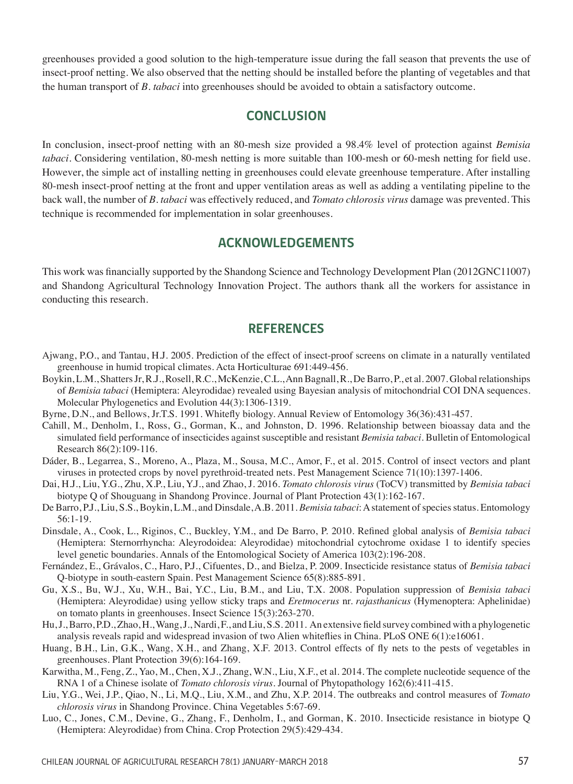greenhouses provided a good solution to the high-temperature issue during the fall season that prevents the use of insect-proof netting. We also observed that the netting should be installed before the planting of vegetables and that the human transport of *B. tabaci* into greenhouses should be avoided to obtain a satisfactory outcome.

# **CONCLUSION**

In conclusion, insect-proof netting with an 80-mesh size provided a 98.4% level of protection against *Bemisia tabaci*. Considering ventilation, 80-mesh netting is more suitable than 100-mesh or 60-mesh netting for field use. However, the simple act of installing netting in greenhouses could elevate greenhouse temperature. After installing 80-mesh insect-proof netting at the front and upper ventilation areas as well as adding a ventilating pipeline to the back wall, the number of *B. tabaci* was effectively reduced, and *Tomato chlorosis virus* damage was prevented. This technique is recommended for implementation in solar greenhouses.

# **ACKNOWLEDGEMENTS**

This work was financially supported by the Shandong Science and Technology Development Plan (2012GNC11007) and Shandong Agricultural Technology Innovation Project. The authors thank all the workers for assistance in conducting this research.

# **REFERENCES**

- Ajwang, P.O., and Tantau, H.J. 2005. Prediction of the effect of insect-proof screens on climate in a naturally ventilated greenhouse in humid tropical climates. Acta Horticulturae 691:449-456.
- Boykin, L.M., Shatters Jr, R.J., Rosell, R.C., McKenzie, C.L., Ann Bagnall, R., De Barro, P., et al. 2007. Global relationships of *Bemisia tabaci* (Hemiptera: Aleyrodidae) revealed using Bayesian analysis of mitochondrial COI DNA sequences. Molecular Phylogenetics and Evolution 44(3):1306-1319.
- Byrne, D.N., and Bellows, Jr.T.S. 1991. Whitefly biology. Annual Review of Entomology 36(36):431-457.
- Cahill, M., Denholm, I., Ross, G., Gorman, K., and Johnston, D. 1996. Relationship between bioassay data and the simulated field performance of insecticides against susceptible and resistant *Bemisia tabaci*. Bulletin of Entomological Research 86(2):109-116.
- Dáder, B., Legarrea, S., Moreno, A., Plaza, M., Sousa, M.C., Amor, F., et al. 2015. Control of insect vectors and plant viruses in protected crops by novel pyrethroid-treated nets. Pest Management Science 71(10):1397-1406.
- Dai, H.J., Liu, Y.G., Zhu, X.P., Liu, Y.J., and Zhao, J. 2016. *Tomato chlorosis virus* (ToCV) transmitted by *Bemisia tabaci* biotype Q of Shouguang in Shandong Province. Journal of Plant Protection 43(1):162-167.
- De Barro, P.J., Liu, S.S., Boykin, L.M., and Dinsdale, A.B. 2011. *Bemisia tabaci*: A statement of species status. Entomology 56:1-19.
- Dinsdale, A., Cook, L., Riginos, C., Buckley, Y.M., and De Barro, P. 2010. Refined global analysis of *Bemisia tabaci* (Hemiptera: Sternorrhyncha: Aleyrodoidea: Aleyrodidae) mitochondrial cytochrome oxidase 1 to identify species level genetic boundaries. Annals of the Entomological Society of America 103(2):196-208.
- Fernández, E., Grávalos, C., Haro, P.J., Cifuentes, D., and Bielza, P. 2009. Insecticide resistance status of *Bemisia tabaci* Q-biotype in south-eastern Spain. Pest Management Science 65(8):885-891.
- Gu, X.S., Bu, W.J., Xu, W.H., Bai, Y.C., Liu, B.M., and Liu, T.X. 2008. Population suppression of *Bemisia tabaci* (Hemiptera: Aleyrodidae) using yellow sticky traps and *Eretmocerus* nr. *rajasthanicus* (Hymenoptera: Aphelinidae) on tomato plants in greenhouses. Insect Science 15(3):263-270.
- Hu, J., Barro, P.D., Zhao, H., Wang, J., Nardi, F., and Liu, S.S. 2011. An extensive field survey combined with a phylogenetic analysis reveals rapid and widespread invasion of two Alien whiteflies in China. PLoS ONE 6(1):e16061.
- Huang, B.H., Lin, G.K., Wang, X.H., and Zhang, X.F. 2013. Control effects of fly nets to the pests of vegetables in greenhouses. Plant Protection 39(6):164-169.
- Karwitha, M., Feng, Z., Yao, M., Chen, X.J., Zhang, W.N., Liu, X.F., et al. 2014. The complete nucleotide sequence of the RNA 1 of a Chinese isolate of *Tomato chlorosis virus*. Journal of Phytopathology 162(6):411-415.
- Liu, Y.G., Wei, J.P., Qiao, N., Li, M.Q., Liu, X.M., and Zhu, X.P. 2014. The outbreaks and control measures of *Tomato chlorosis virus* in Shandong Province. China Vegetables 5:67-69.
- Luo, C., Jones, C.M., Devine, G., Zhang, F., Denholm, I., and Gorman, K. 2010. Insecticide resistance in biotype Q (Hemiptera: Aleyrodidae) from China. Crop Protection 29(5):429-434.